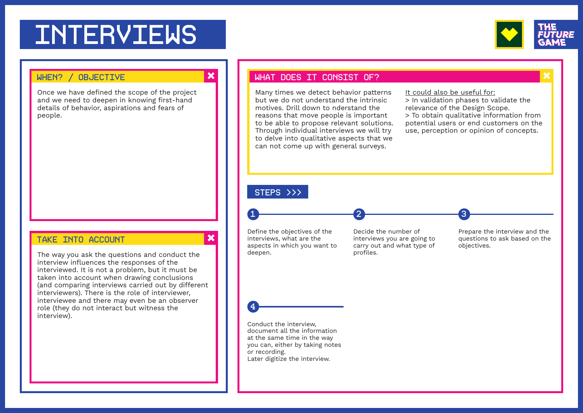# **INTERVIEWS**



# WHEN? / OBJECTIVE

Once we have defned the scope of the project and we need to deepen in knowing first-hand details of behavior, aspirations and fears of people.

### TAKE INTO ACCOUNT

The way you ask the questions and conduct the interview infuences the responses of the interviewed. It is not a problem, but it must be taken into account when drawing conclusions (and comparing interviews carried out by diferent interviewers). There is the role of interviewer, interviewee and there may even be an observer role (they do not interact but witness the interview).

### WHAT DOES IT CONSIST OF?

Many times we detect behavior patterns but we do not understand the intrinsic motives. Drill down to nderstand the reasons that move people is important to be able to propose relevant solutions. Through individual interviews we will try to delve into qualitative aspects that we can not come up with general surveys.

It could also be useful for: > In validation phases to validate the relevance of the Design Scope.

3

> To obtain qualitative information from potential users or end customers on the use, perception or opinion of concepts.

# STEPS >>>

 $\overline{\mathbf{x}}$ 

 $\overline{\mathbf{x}}$ 

Defne the objectives of the interviews, what are the aspects in which you want to deepen.

1 2

Decide the number of interviews you are going to carry out and what type of profiles.

Prepare the interview and the questions to ask based on the objectives.



Conduct the interview, document all the information at the same time in the way you can, either by taking notes or recording. Later digitize the interview.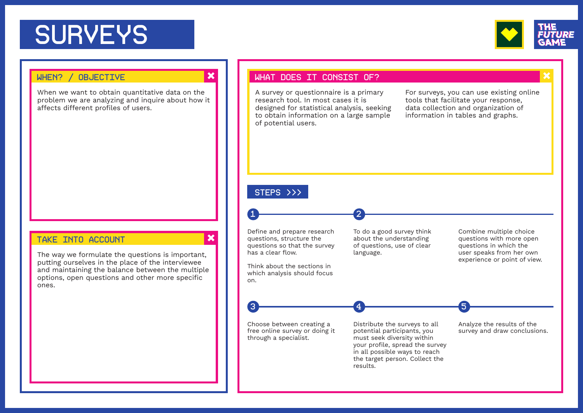# **SURVEYS**



# WHEN? / OBJECTIVE

When we want to obtain quantitative data on the problem we are analyzing and inquire about how it affects different profiles of users.

### TAKE INTO ACCOUNT

The way we formulate the questions is important, putting ourselves in the place of the interviewee and maintaining the balance between the multiple options, open questions and other more specific ones.

#### WHAT DOES IT CONSIST OF?

A survey or questionnaire is a primary research tool. In most cases it is designed for statistical analysis, seeking to obtain information on a large sample of potential users.

For surveys, you can use existing online tools that facilitate your response, data collection and organization of information in tables and graphs.

# STEPS >>>

has a clear flow.

on.

 $\boldsymbol{\mathsf{x}}$ 

 $\boldsymbol{\mathsf{x}}$ 

Define and prepare research questions, structure the questions so that the survey

1 2

Think about the sections in which analysis should focus To do a good survey think about the understanding of questions, use of clear language.

 $\overline{3}$  5

Combine multiple choice questions with more open questions in which the user speaks from her own experience or point of view.

Choose between creating a free online survey or doing it through a specialist.

Distribute the surveys to all potential participants, you must seek diversity within your profle, spread the survey in all possible ways to reach the target person. Collect the results.

Analyze the results of the survey and draw conclusions.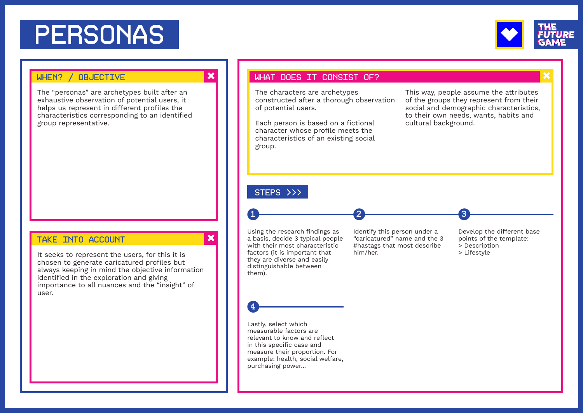# PERSONAS



## WHEN? / OBJECTIVE

The "personas" are archetypes built after an exhaustive observation of potential users, it helps us represent in different profiles the characteristics corresponding to an identifed group representative.

### TAKE INTO ACCOUNT

It seeks to represent the users, for this it is chosen to generate caricatured profles but always keeping in mind the objective information identifed in the exploration and giving importance to all nuances and the "insight" of user.

#### WHAT DOES IT CONSIST OF?

The characters are archetypes constructed after a thorough observation of potential users.

Each person is based on a fictional character whose profle meets the characteristics of an existing social group.

This way, people assume the attributes of the groups they represent from their social and demographic characteristics, to their own needs, wants, habits and cultural background.

3

# STEPS >>>

 $\overline{\mathbf{x}}$ 

 $\boldsymbol{\mathsf{x}}$ 

Using the research findings as a basis, decide 3 typical people with their most characteristic factors (it is important that they are diverse and easily distinguishable between them).

1 2

Identify this person under a "caricatured" name and the 3 #hastags that most describe him/her.

Develop the diferent base points of the template: > Description > Lifestyle



Lastly, select which measurable factors are relevant to know and refect in this specific case and measure their proportion. For example: health, social welfare, purchasing power...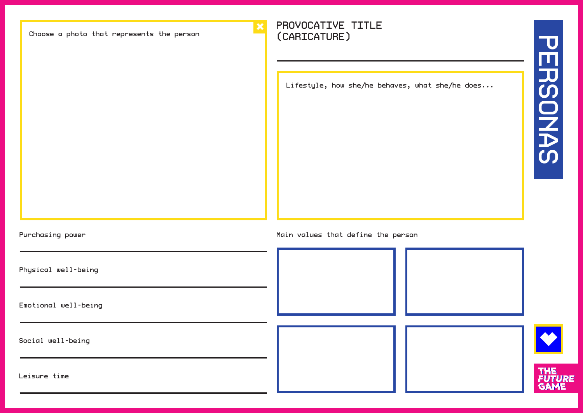Choose a photo that represents the person

# PROVOCATIVE TITLE (CARICATURE)

Lifestyle, how she/he behaves, what she/he does...

Purchasing power **Main values** that define the person Physical well-being Emotional well-being Social well-being THE<br>FUTURE Leisure time **GAME**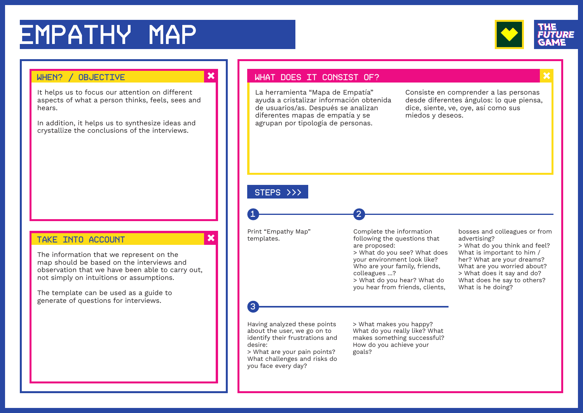# EMPATHY MAP



It helps us to focus our attention on diferent aspects of what a person thinks, feels, sees and hears.

In addition, it helps us to synthesize ideas and crystallize the conclusions of the interviews.

### TAKE INTO ACCOUNT

The information that we represent on the map should be based on the interviews and observation that we have been able to carry out, not simply on intuitions or assumptions.

The template can be used as a guide to generate of questions for interviews.

# WHEN? / OBJECTIVE WHEN A VIOLET WHAT DOES IT CONSIST OF?

La herramienta "Mapa de Empatía" ayuda a cristalizar información obtenida de usuarios/as. Después se analizan diferentes mapas de empatía y se agrupan por tipología de personas.

Consiste en comprender a las personas desde diferentes ángulos: lo que piensa, dice, siente, ve, oye, así como sus miedos y deseos.

# STEPS >>>

Print "Empathy Map" templates.

1 2

Complete the information following the questions that are proposed: > What do you see? What does your environment look like? Who are your family, friends, colleagues ...? > What do you hear? What do you hear from friends, clients,

bosses and colleagues or from advertising?

> What do you think and feel? What is important to him / her? What are your dreams? What are you worried about? > What does it say and do? What does he say to others? What is he doing?

# 3

 $\pmb{\times}$ 

Having analyzed these points about the user, we go on to identify their frustrations and desire:

> What are your pain points? What challenges and risks do you face every day?

> What makes you happy? What do you really like? What makes something successful? How do you achieve your goals?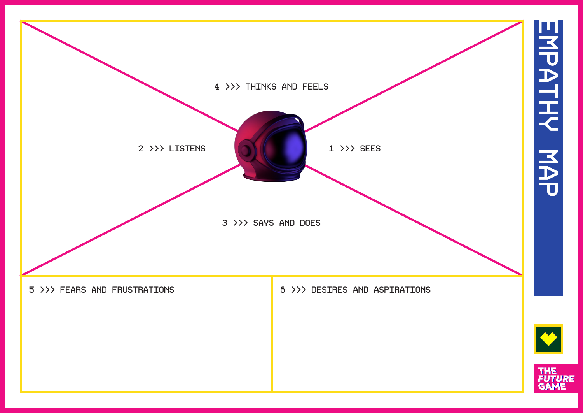